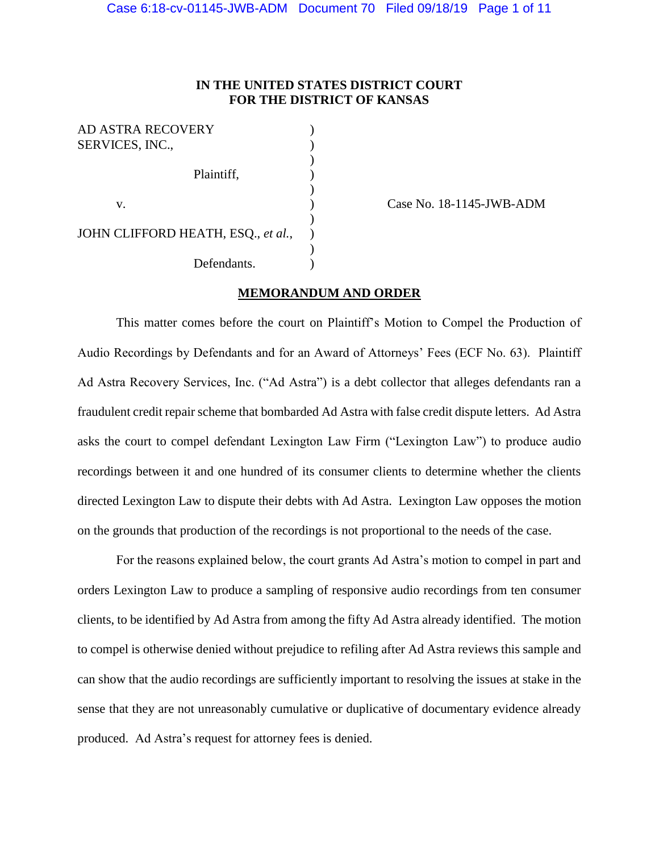# **IN THE UNITED STATES DISTRICT COURT FOR THE DISTRICT OF KANSAS**

| <b>AD ASTRA RECOVERY</b><br>SERVICES, INC., |  |
|---------------------------------------------|--|
| Plaintiff,                                  |  |
| V.                                          |  |
| JOHN CLIFFORD HEATH, ESQ., et al.,          |  |
| Defendants.                                 |  |

Case No. 18-1145-JWB-ADM

## **MEMORANDUM AND ORDER**

This matter comes before the court on Plaintiff's Motion to Compel the Production of Audio Recordings by Defendants and for an Award of Attorneys' Fees (ECF No. 63). Plaintiff Ad Astra Recovery Services, Inc. ("Ad Astra") is a debt collector that alleges defendants ran a fraudulent credit repair scheme that bombarded Ad Astra with false credit dispute letters. Ad Astra asks the court to compel defendant Lexington Law Firm ("Lexington Law") to produce audio recordings between it and one hundred of its consumer clients to determine whether the clients directed Lexington Law to dispute their debts with Ad Astra. Lexington Law opposes the motion on the grounds that production of the recordings is not proportional to the needs of the case.

For the reasons explained below, the court grants Ad Astra's motion to compel in part and orders Lexington Law to produce a sampling of responsive audio recordings from ten consumer clients, to be identified by Ad Astra from among the fifty Ad Astra already identified. The motion to compel is otherwise denied without prejudice to refiling after Ad Astra reviews this sample and can show that the audio recordings are sufficiently important to resolving the issues at stake in the sense that they are not unreasonably cumulative or duplicative of documentary evidence already produced. Ad Astra's request for attorney fees is denied.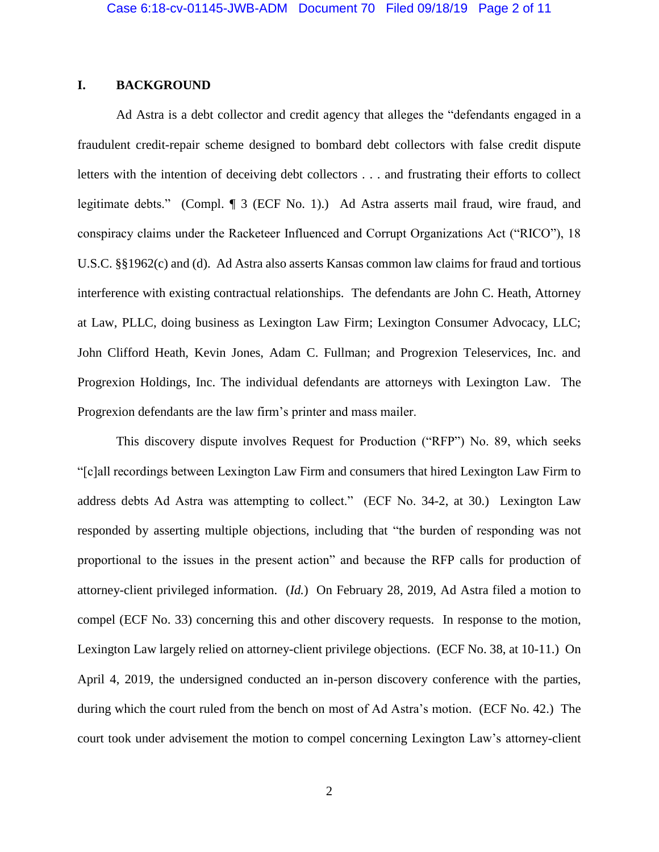# **I. BACKGROUND**

Ad Astra is a debt collector and credit agency that alleges the "defendants engaged in a fraudulent credit-repair scheme designed to bombard debt collectors with false credit dispute letters with the intention of deceiving debt collectors . . . and frustrating their efforts to collect legitimate debts." (Compl. ¶ 3 (ECF No. 1).) Ad Astra asserts mail fraud, wire fraud, and conspiracy claims under the Racketeer Influenced and Corrupt Organizations Act ("RICO"), 18 U.S.C. §§1962(c) and (d). Ad Astra also asserts Kansas common law claims for fraud and tortious interference with existing contractual relationships. The defendants are John C. Heath, Attorney at Law, PLLC, doing business as Lexington Law Firm; Lexington Consumer Advocacy, LLC; John Clifford Heath, Kevin Jones, Adam C. Fullman; and Progrexion Teleservices, Inc. and Progrexion Holdings, Inc. The individual defendants are attorneys with Lexington Law. The Progrexion defendants are the law firm's printer and mass mailer.

This discovery dispute involves Request for Production ("RFP") No. 89, which seeks "[c]all recordings between Lexington Law Firm and consumers that hired Lexington Law Firm to address debts Ad Astra was attempting to collect." (ECF No. 34-2, at 30.) Lexington Law responded by asserting multiple objections, including that "the burden of responding was not proportional to the issues in the present action" and because the RFP calls for production of attorney-client privileged information. (*Id.*) On February 28, 2019, Ad Astra filed a motion to compel (ECF No. 33) concerning this and other discovery requests. In response to the motion, Lexington Law largely relied on attorney-client privilege objections. (ECF No. 38, at 10-11.) On April 4, 2019, the undersigned conducted an in-person discovery conference with the parties, during which the court ruled from the bench on most of Ad Astra's motion. (ECF No. 42.) The court took under advisement the motion to compel concerning Lexington Law's attorney-client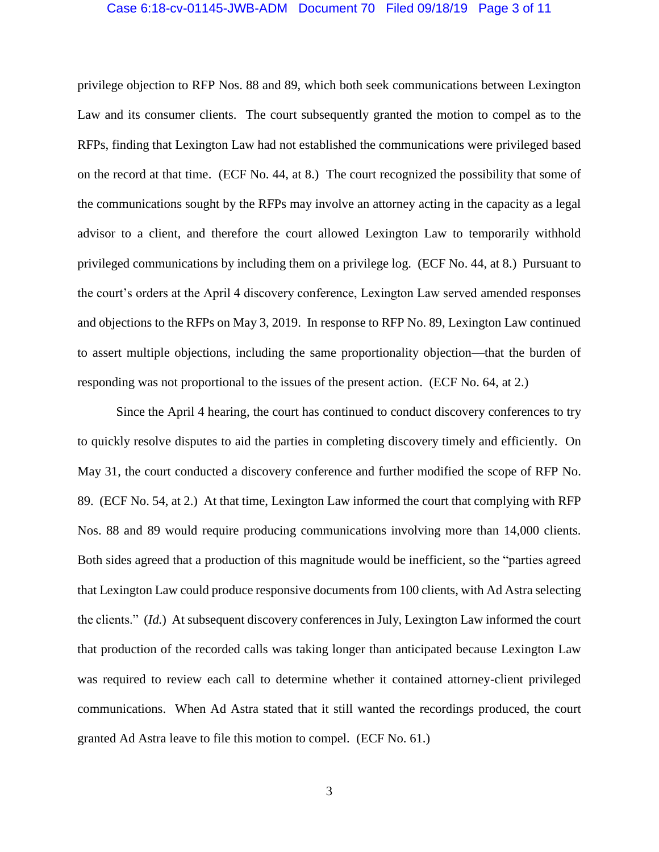### Case 6:18-cv-01145-JWB-ADM Document 70 Filed 09/18/19 Page 3 of 11

privilege objection to RFP Nos. 88 and 89, which both seek communications between Lexington Law and its consumer clients. The court subsequently granted the motion to compel as to the RFPs, finding that Lexington Law had not established the communications were privileged based on the record at that time. (ECF No. 44, at 8.) The court recognized the possibility that some of the communications sought by the RFPs may involve an attorney acting in the capacity as a legal advisor to a client, and therefore the court allowed Lexington Law to temporarily withhold privileged communications by including them on a privilege log. (ECF No. 44, at 8.) Pursuant to the court's orders at the April 4 discovery conference, Lexington Law served amended responses and objections to the RFPs on May 3, 2019. In response to RFP No. 89, Lexington Law continued to assert multiple objections, including the same proportionality objection—that the burden of responding was not proportional to the issues of the present action. (ECF No. 64, at 2.)

Since the April 4 hearing, the court has continued to conduct discovery conferences to try to quickly resolve disputes to aid the parties in completing discovery timely and efficiently. On May 31, the court conducted a discovery conference and further modified the scope of RFP No. 89. (ECF No. 54, at 2.) At that time, Lexington Law informed the court that complying with RFP Nos. 88 and 89 would require producing communications involving more than 14,000 clients. Both sides agreed that a production of this magnitude would be inefficient, so the "parties agreed that Lexington Law could produce responsive documents from 100 clients, with Ad Astra selecting the clients." (*Id.*) At subsequent discovery conferences in July, Lexington Law informed the court that production of the recorded calls was taking longer than anticipated because Lexington Law was required to review each call to determine whether it contained attorney-client privileged communications. When Ad Astra stated that it still wanted the recordings produced, the court granted Ad Astra leave to file this motion to compel. (ECF No. 61.)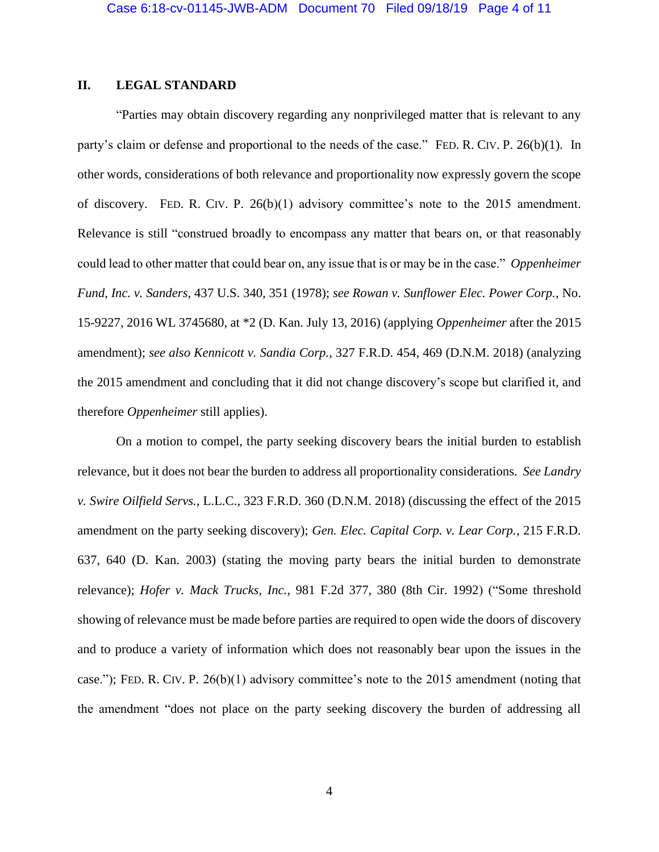# **II. LEGAL STANDARD**

"Parties may obtain discovery regarding any nonprivileged matter that is relevant to any party's claim or defense and proportional to the needs of the case." FED. R. CIV. P. 26(b)(1). In other words, considerations of both relevance and proportionality now expressly govern the scope of discovery. FED. R. CIV. P. 26(b)(1) advisory committee's note to the 2015 amendment. Relevance is still "construed broadly to encompass any matter that bears on, or that reasonably could lead to other matter that could bear on, any issue that is or may be in the case." *Oppenheimer Fund, Inc. v. Sanders*, 437 U.S. 340, 351 (1978); *see Rowan v. Sunflower Elec. Power Corp.*, No. 15-9227, 2016 WL 3745680, at \*2 (D. Kan. July 13, 2016) (applying *Oppenheimer* after the 2015 amendment); *see also Kennicott v. Sandia Corp.*, 327 F.R.D. 454, 469 (D.N.M. 2018) (analyzing the 2015 amendment and concluding that it did not change discovery's scope but clarified it, and therefore *Oppenheimer* still applies).

On a motion to compel, the party seeking discovery bears the initial burden to establish relevance, but it does not bear the burden to address all proportionality considerations. *See Landry v. Swire Oilfield Servs.*, L.L.C., 323 F.R.D. 360 (D.N.M. 2018) (discussing the effect of the 2015 amendment on the party seeking discovery); *Gen. Elec. Capital Corp. v. Lear Corp.*, 215 F.R.D. 637, 640 (D. Kan. 2003) (stating the moving party bears the initial burden to demonstrate relevance); *Hofer v. Mack Trucks, Inc.*, 981 F.2d 377, 380 (8th Cir. 1992) ("Some threshold showing of relevance must be made before parties are required to open wide the doors of discovery and to produce a variety of information which does not reasonably bear upon the issues in the case."); FED. R. CIV. P. 26(b)(1) advisory committee's note to the 2015 amendment (noting that the amendment "does not place on the party seeking discovery the burden of addressing all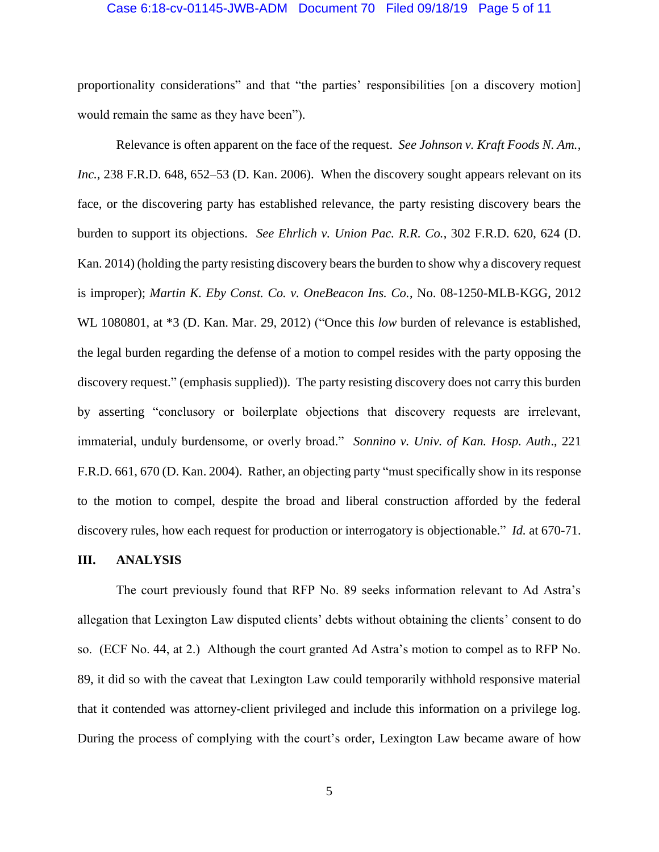#### Case 6:18-cv-01145-JWB-ADM Document 70 Filed 09/18/19 Page 5 of 11

proportionality considerations" and that "the parties' responsibilities [on a discovery motion] would remain the same as they have been").

Relevance is often apparent on the face of the request. *See Johnson v. Kraft Foods N. Am., Inc.*, 238 F.R.D. 648, 652–53 (D. Kan. 2006). When the discovery sought appears relevant on its face, or the discovering party has established relevance, the party resisting discovery bears the burden to support its objections. *See Ehrlich v. Union Pac. R.R. Co.*, 302 F.R.D. 620, 624 (D. Kan. 2014) (holding the party resisting discovery bears the burden to show why a discovery request is improper); *Martin K. Eby Const. Co. v. OneBeacon Ins. Co.*, No. 08-1250-MLB-KGG, 2012 WL 1080801, at \*3 (D. Kan. Mar. 29, 2012) ("Once this *low* burden of relevance is established, the legal burden regarding the defense of a motion to compel resides with the party opposing the discovery request." (emphasis supplied)). The party resisting discovery does not carry this burden by asserting "conclusory or boilerplate objections that discovery requests are irrelevant, immaterial, unduly burdensome, or overly broad." *Sonnino v. Univ. of Kan. Hosp. Auth*., 221 F.R.D. 661, 670 (D. Kan. 2004). Rather, an objecting party "must specifically show in its response to the motion to compel, despite the broad and liberal construction afforded by the federal discovery rules, how each request for production or interrogatory is objectionable." *Id.* at 670-71.

## **III. ANALYSIS**

The court previously found that RFP No. 89 seeks information relevant to Ad Astra's allegation that Lexington Law disputed clients' debts without obtaining the clients' consent to do so. (ECF No. 44, at 2.) Although the court granted Ad Astra's motion to compel as to RFP No. 89, it did so with the caveat that Lexington Law could temporarily withhold responsive material that it contended was attorney-client privileged and include this information on a privilege log. During the process of complying with the court's order, Lexington Law became aware of how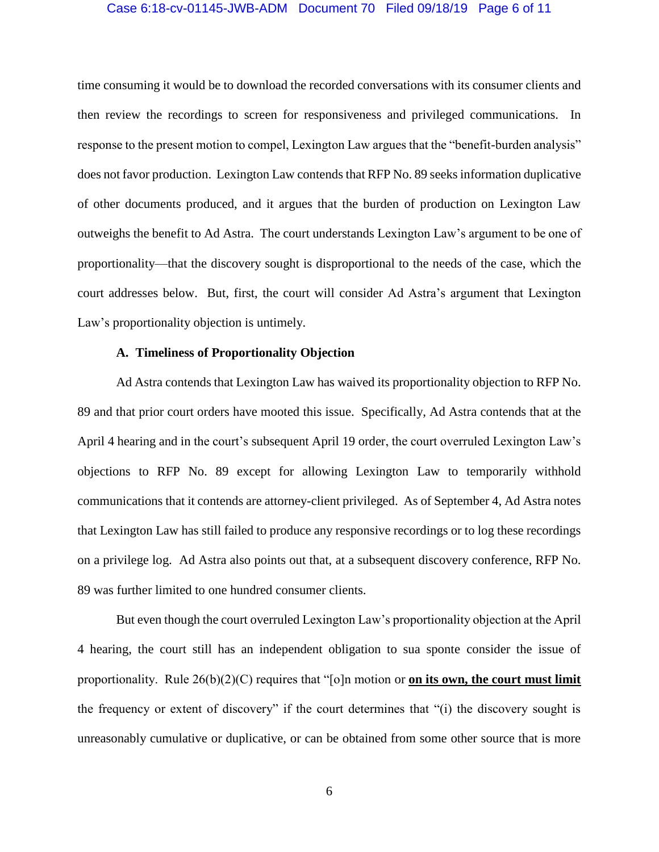## Case 6:18-cv-01145-JWB-ADM Document 70 Filed 09/18/19 Page 6 of 11

time consuming it would be to download the recorded conversations with its consumer clients and then review the recordings to screen for responsiveness and privileged communications. In response to the present motion to compel, Lexington Law argues that the "benefit-burden analysis" does not favor production. Lexington Law contends that RFP No. 89 seeks information duplicative of other documents produced, and it argues that the burden of production on Lexington Law outweighs the benefit to Ad Astra. The court understands Lexington Law's argument to be one of proportionality—that the discovery sought is disproportional to the needs of the case, which the court addresses below. But, first, the court will consider Ad Astra's argument that Lexington Law's proportionality objection is untimely.

## **A. Timeliness of Proportionality Objection**

Ad Astra contends that Lexington Law has waived its proportionality objection to RFP No. 89 and that prior court orders have mooted this issue. Specifically, Ad Astra contends that at the April 4 hearing and in the court's subsequent April 19 order, the court overruled Lexington Law's objections to RFP No. 89 except for allowing Lexington Law to temporarily withhold communications that it contends are attorney-client privileged. As of September 4, Ad Astra notes that Lexington Law has still failed to produce any responsive recordings or to log these recordings on a privilege log. Ad Astra also points out that, at a subsequent discovery conference, RFP No. 89 was further limited to one hundred consumer clients.

But even though the court overruled Lexington Law's proportionality objection at the April 4 hearing, the court still has an independent obligation to sua sponte consider the issue of proportionality. Rule 26(b)(2)(C) requires that "[o]n motion or **on its own, the court must limit** the frequency or extent of discovery" if the court determines that "(i) the discovery sought is unreasonably cumulative or duplicative, or can be obtained from some other source that is more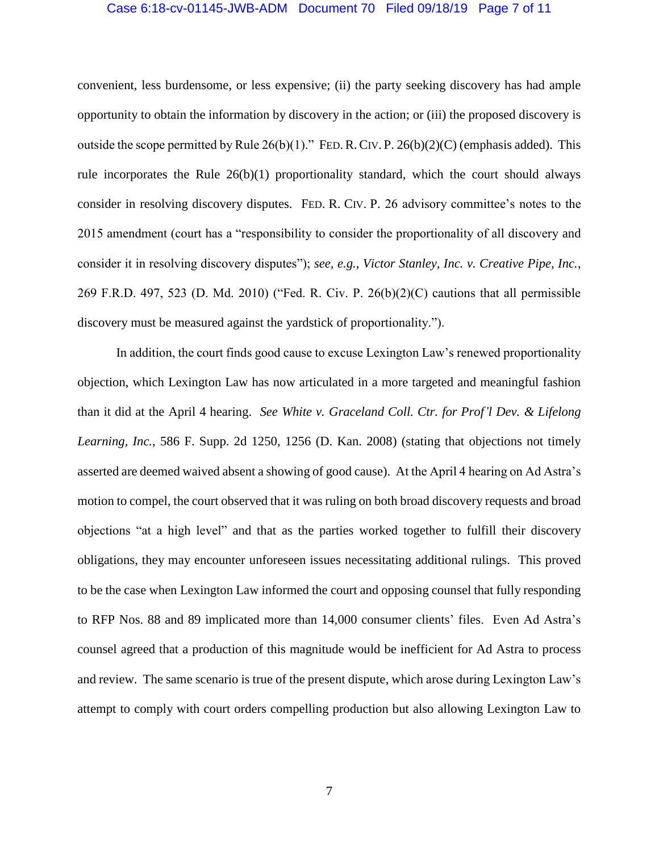### Case 6:18-cv-01145-JWB-ADM Document 70 Filed 09/18/19 Page 7 of 11

convenient, less burdensome, or less expensive; (ii) the party seeking discovery has had ample opportunity to obtain the information by discovery in the action; or (iii) the proposed discovery is outside the scope permitted by Rule  $26(b)(1)$ ." FED. R. CIV. P.  $26(b)(2)(C)$  (emphasis added). This rule incorporates the Rule 26(b)(1) proportionality standard, which the court should always consider in resolving discovery disputes. FED. R. CIV. P. 26 advisory committee's notes to the 2015 amendment (court has a "responsibility to consider the proportionality of all discovery and consider it in resolving discovery disputes"); *see, e.g.*, *Victor Stanley, Inc. v. Creative Pipe, Inc.*, 269 F.R.D. 497, 523 (D. Md. 2010) ("Fed. R. Civ. P. 26(b)(2)(C) cautions that all permissible discovery must be measured against the yardstick of proportionality.").

In addition, the court finds good cause to excuse Lexington Law's renewed proportionality objection, which Lexington Law has now articulated in a more targeted and meaningful fashion than it did at the April 4 hearing. *See White v. Graceland Coll. Ctr. for Prof'l Dev. & Lifelong Learning, Inc.*, 586 F. Supp. 2d 1250, 1256 (D. Kan. 2008) (stating that objections not timely asserted are deemed waived absent a showing of good cause). At the April 4 hearing on Ad Astra's motion to compel, the court observed that it was ruling on both broad discovery requests and broad objections "at a high level" and that as the parties worked together to fulfill their discovery obligations, they may encounter unforeseen issues necessitating additional rulings. This proved to be the case when Lexington Law informed the court and opposing counsel that fully responding to RFP Nos. 88 and 89 implicated more than 14,000 consumer clients' files. Even Ad Astra's counsel agreed that a production of this magnitude would be inefficient for Ad Astra to process and review. The same scenario is true of the present dispute, which arose during Lexington Law's attempt to comply with court orders compelling production but also allowing Lexington Law to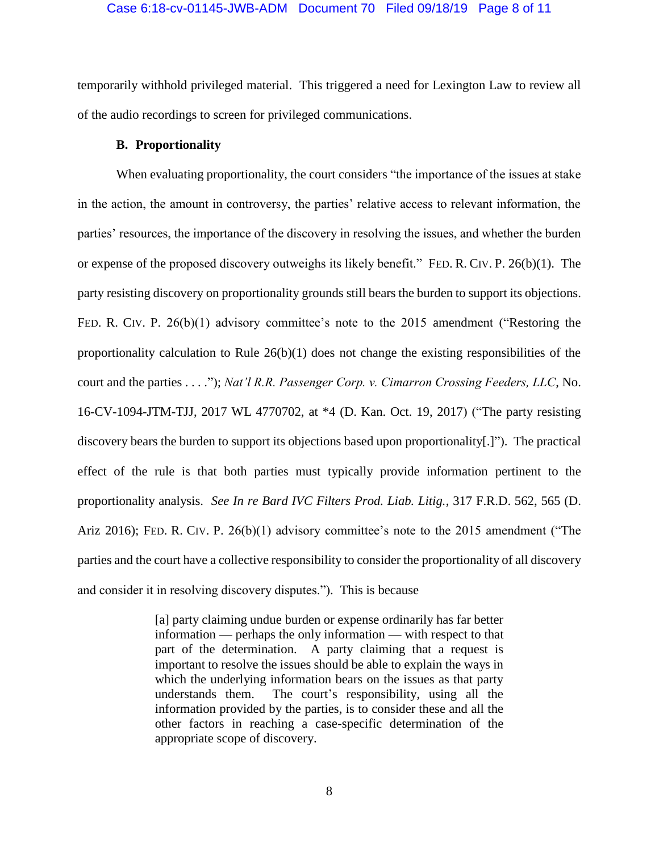### Case 6:18-cv-01145-JWB-ADM Document 70 Filed 09/18/19 Page 8 of 11

temporarily withhold privileged material. This triggered a need for Lexington Law to review all of the audio recordings to screen for privileged communications.

## **B. Proportionality**

When evaluating proportionality, the court considers "the importance of the issues at stake in the action, the amount in controversy, the parties' relative access to relevant information, the parties' resources, the importance of the discovery in resolving the issues, and whether the burden or expense of the proposed discovery outweighs its likely benefit." FED. R. CIV. P. 26(b)(1). The party resisting discovery on proportionality grounds still bears the burden to support its objections. FED. R. CIV. P. 26(b)(1) advisory committee's note to the 2015 amendment ("Restoring the proportionality calculation to Rule 26(b)(1) does not change the existing responsibilities of the court and the parties . . . ."); *Nat'l R.R. Passenger Corp. v. Cimarron Crossing Feeders, LLC*, No. 16-CV-1094-JTM-TJJ, 2017 WL 4770702, at \*4 (D. Kan. Oct. 19, 2017) ("The party resisting discovery bears the burden to support its objections based upon proportionality[.]"). The practical effect of the rule is that both parties must typically provide information pertinent to the proportionality analysis. *See In re Bard IVC Filters Prod. Liab. Litig.*, 317 F.R.D. 562, 565 (D. Ariz 2016); FED. R. CIV. P. 26(b)(1) advisory committee's note to the 2015 amendment ("The parties and the court have a collective responsibility to consider the proportionality of all discovery and consider it in resolving discovery disputes."). This is because

> [a] party claiming undue burden or expense ordinarily has far better information — perhaps the only information — with respect to that part of the determination. A party claiming that a request is important to resolve the issues should be able to explain the ways in which the underlying information bears on the issues as that party understands them. The court's responsibility, using all the information provided by the parties, is to consider these and all the other factors in reaching a case-specific determination of the appropriate scope of discovery.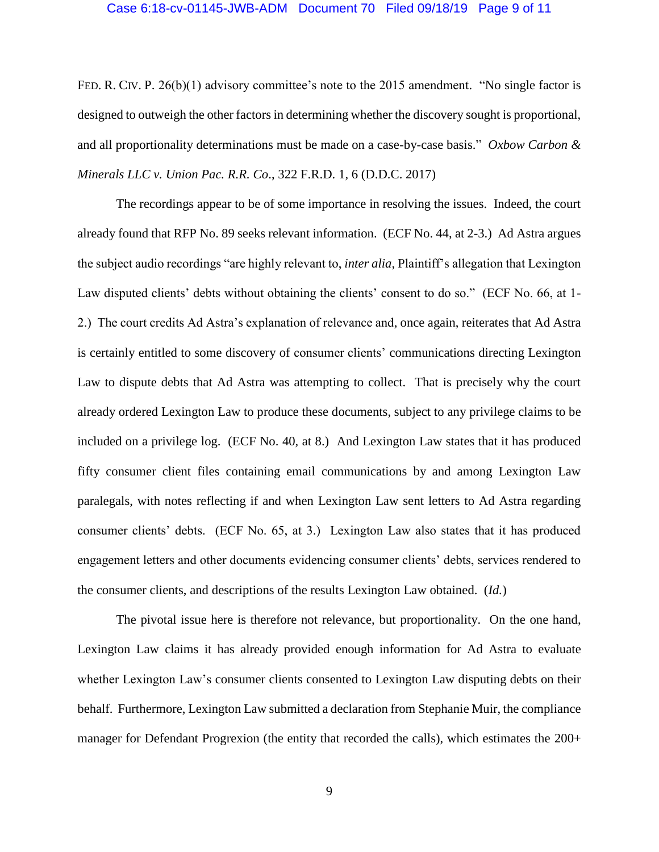### Case 6:18-cv-01145-JWB-ADM Document 70 Filed 09/18/19 Page 9 of 11

FED. R. CIV. P. 26(b)(1) advisory committee's note to the 2015 amendment. "No single factor is designed to outweigh the other factors in determining whether the discovery sought is proportional, and all proportionality determinations must be made on a case-by-case basis." *Oxbow Carbon & Minerals LLC v. Union Pac. R.R. Co*., 322 F.R.D. 1, 6 (D.D.C. 2017)

The recordings appear to be of some importance in resolving the issues. Indeed, the court already found that RFP No. 89 seeks relevant information. (ECF No. 44, at 2-3.) Ad Astra argues the subject audio recordings "are highly relevant to, *inter alia*, Plaintiff's allegation that Lexington Law disputed clients' debts without obtaining the clients' consent to do so." (ECF No. 66, at 1- 2.) The court credits Ad Astra's explanation of relevance and, once again, reiterates that Ad Astra is certainly entitled to some discovery of consumer clients' communications directing Lexington Law to dispute debts that Ad Astra was attempting to collect. That is precisely why the court already ordered Lexington Law to produce these documents, subject to any privilege claims to be included on a privilege log. (ECF No. 40, at 8.) And Lexington Law states that it has produced fifty consumer client files containing email communications by and among Lexington Law paralegals, with notes reflecting if and when Lexington Law sent letters to Ad Astra regarding consumer clients' debts. (ECF No. 65, at 3.) Lexington Law also states that it has produced engagement letters and other documents evidencing consumer clients' debts, services rendered to the consumer clients, and descriptions of the results Lexington Law obtained. (*Id.*)

The pivotal issue here is therefore not relevance, but proportionality. On the one hand, Lexington Law claims it has already provided enough information for Ad Astra to evaluate whether Lexington Law's consumer clients consented to Lexington Law disputing debts on their behalf. Furthermore, Lexington Law submitted a declaration from Stephanie Muir, the compliance manager for Defendant Progrexion (the entity that recorded the calls), which estimates the 200+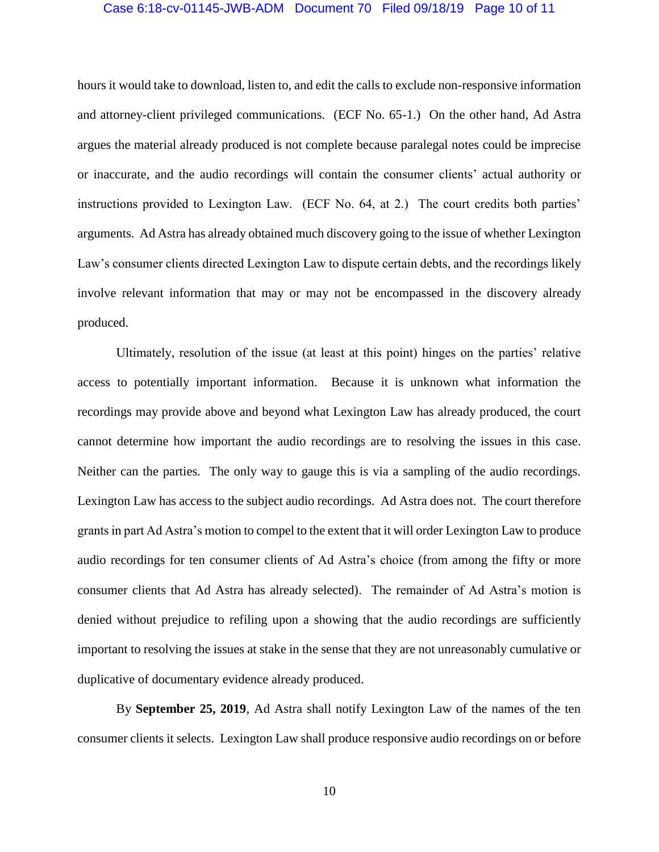### Case 6:18-cv-01145-JWB-ADM Document 70 Filed 09/18/19 Page 10 of 11

hours it would take to download, listen to, and edit the calls to exclude non-responsive information and attorney-client privileged communications. (ECF No. 65-1.) On the other hand, Ad Astra argues the material already produced is not complete because paralegal notes could be imprecise or inaccurate, and the audio recordings will contain the consumer clients' actual authority or instructions provided to Lexington Law. (ECF No. 64, at 2.) The court credits both parties' arguments. Ad Astra has already obtained much discovery going to the issue of whether Lexington Law's consumer clients directed Lexington Law to dispute certain debts, and the recordings likely involve relevant information that may or may not be encompassed in the discovery already produced.

Ultimately, resolution of the issue (at least at this point) hinges on the parties' relative access to potentially important information. Because it is unknown what information the recordings may provide above and beyond what Lexington Law has already produced, the court cannot determine how important the audio recordings are to resolving the issues in this case. Neither can the parties. The only way to gauge this is via a sampling of the audio recordings. Lexington Law has access to the subject audio recordings. Ad Astra does not. The court therefore grants in part Ad Astra's motion to compel to the extent that it will order Lexington Law to produce audio recordings for ten consumer clients of Ad Astra's choice (from among the fifty or more consumer clients that Ad Astra has already selected). The remainder of Ad Astra's motion is denied without prejudice to refiling upon a showing that the audio recordings are sufficiently important to resolving the issues at stake in the sense that they are not unreasonably cumulative or duplicative of documentary evidence already produced.

By **September 25, 2019**, Ad Astra shall notify Lexington Law of the names of the ten consumer clients it selects. Lexington Law shall produce responsive audio recordings on or before